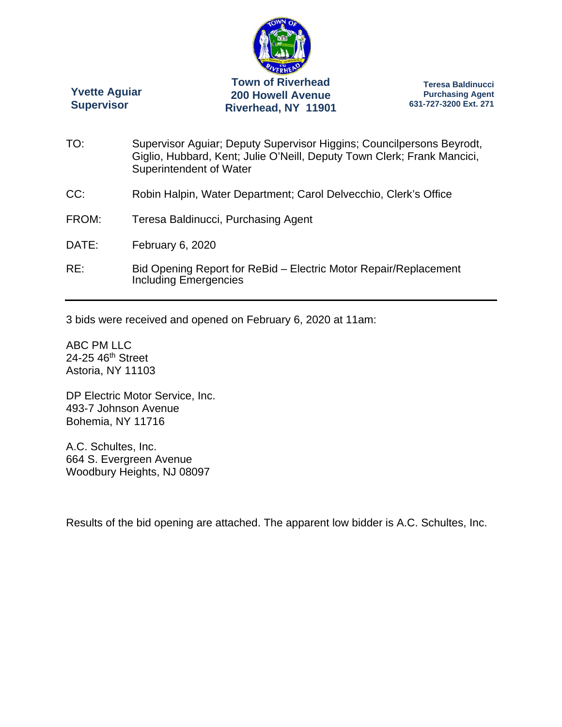

**Yvette Aguiar Supervisor** 

**Teresa Baldinucci Purchasing Agent 631-727-3200 Ext. 271** 

| TO:   | Supervisor Aguiar; Deputy Supervisor Higgins; Councilpersons Beyrodt,<br>Giglio, Hubbard, Kent; Julie O'Neill, Deputy Town Clerk; Frank Mancici,<br>Superintendent of Water |
|-------|-----------------------------------------------------------------------------------------------------------------------------------------------------------------------------|
| CC:   | Robin Halpin, Water Department; Carol Delvecchio, Clerk's Office                                                                                                            |
| FROM: | Teresa Baldinucci, Purchasing Agent                                                                                                                                         |
| DATE: | February 6, 2020                                                                                                                                                            |
| RE:   | Bid Opening Report for ReBid - Electric Motor Repair/Replacement<br><b>Including Emergencies</b>                                                                            |

3 bids were received and opened on February 6, 2020 at 11am:

ABC PM LLC 24-25 46<sup>th</sup> Street Astoria, NY 11103

DP Electric Motor Service, Inc. 493-7 Johnson Avenue Bohemia, NY 11716

A.C. Schultes, Inc. 664 S. Evergreen Avenue Woodbury Heights, NJ 08097

Results of the bid opening are attached. The apparent low bidder is A.C. Schultes, Inc.